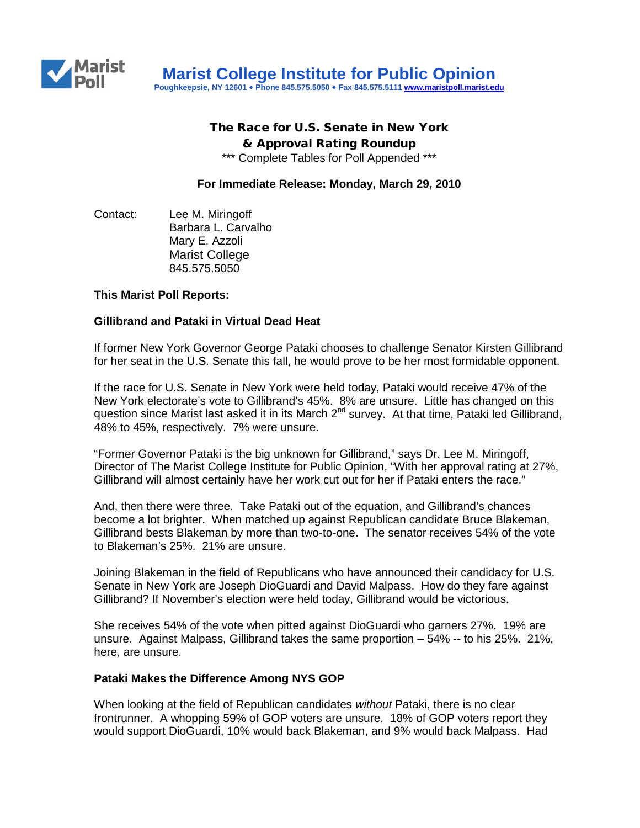

## The Race for U.S. Senate in New York & Approval Rating Roundup

\*\*\* Complete Tables for Poll Appended \*\*\*

**For Immediate Release: Monday, March 29, 2010**

Contact: Lee M. Miringoff Barbara L. Carvalho Mary E. Azzoli Marist College 845.575.5050

#### **This Marist Poll Reports:**

#### **Gillibrand and Pataki in Virtual Dead Heat**

If former New York Governor George Pataki chooses to challenge Senator Kirsten Gillibrand for her seat in the U.S. Senate this fall, he would prove to be her most formidable opponent.

If the race for U.S. Senate in New York were held today, Pataki would receive 47% of the New York electorate's vote to Gillibrand's 45%. 8% are unsure. Little has changed on this question since Marist last asked it in its March 2<sup>nd</sup> survey. At that time, Pataki led Gillibrand, 48% to 45%, respectively. 7% were unsure.

"Former Governor Pataki is the big unknown for Gillibrand," says Dr. Lee M. Miringoff, Director of The Marist College Institute for Public Opinion, "With her approval rating at 27%, Gillibrand will almost certainly have her work cut out for her if Pataki enters the race."

And, then there were three. Take Pataki out of the equation, and Gillibrand's chances become a lot brighter. When matched up against Republican candidate Bruce Blakeman, Gillibrand bests Blakeman by more than two-to-one. The senator receives 54% of the vote to Blakeman's 25%. 21% are unsure.

Joining Blakeman in the field of Republicans who have announced their candidacy for U.S. Senate in New York are Joseph DioGuardi and David Malpass. How do they fare against Gillibrand? If November's election were held today, Gillibrand would be victorious.

She receives 54% of the vote when pitted against DioGuardi who garners 27%. 19% are unsure. Against Malpass, Gillibrand takes the same proportion – 54% -- to his 25%. 21%, here, are unsure.

#### **Pataki Makes the Difference Among NYS GOP**

When looking at the field of Republican candidates *without* Pataki, there is no clear frontrunner. A whopping 59% of GOP voters are unsure. 18% of GOP voters report they would support DioGuardi, 10% would back Blakeman, and 9% would back Malpass. Had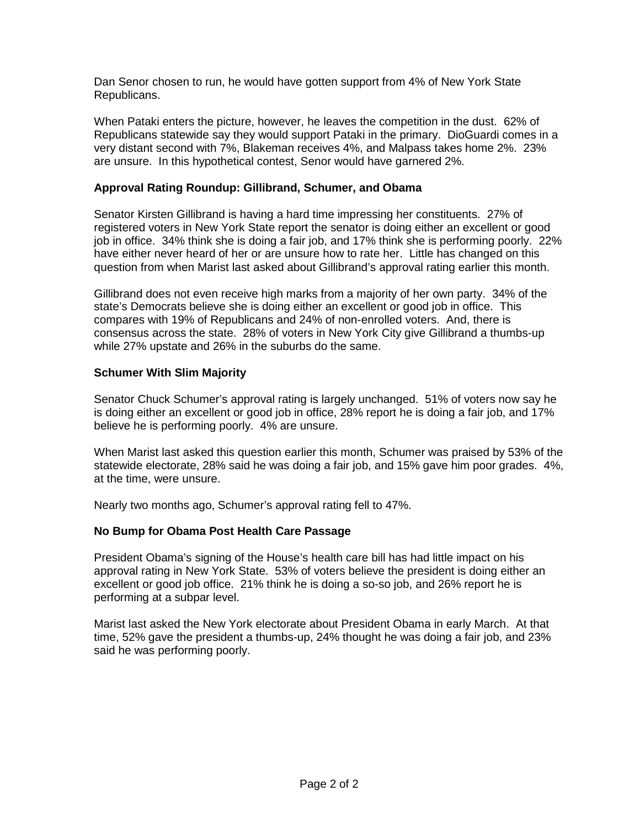Dan Senor chosen to run, he would have gotten support from 4% of New York State Republicans.

When Pataki enters the picture, however, he leaves the competition in the dust. 62% of Republicans statewide say they would support Pataki in the primary. DioGuardi comes in a very distant second with 7%, Blakeman receives 4%, and Malpass takes home 2%. 23% are unsure. In this hypothetical contest, Senor would have garnered 2%.

## **Approval Rating Roundup: Gillibrand, Schumer, and Obama**

Senator Kirsten Gillibrand is having a hard time impressing her constituents. 27% of registered voters in New York State report the senator is doing either an excellent or good job in office. 34% think she is doing a fair job, and 17% think she is performing poorly. 22% have either never heard of her or are unsure how to rate her. Little has changed on this question from when Marist last asked about Gillibrand's approval rating earlier this month.

Gillibrand does not even receive high marks from a majority of her own party. 34% of the state's Democrats believe she is doing either an excellent or good job in office. This compares with 19% of Republicans and 24% of non-enrolled voters. And, there is consensus across the state. 28% of voters in New York City give Gillibrand a thumbs-up while 27% upstate and 26% in the suburbs do the same.

#### **Schumer With Slim Majority**

Senator Chuck Schumer's approval rating is largely unchanged. 51% of voters now say he is doing either an excellent or good job in office, 28% report he is doing a fair job, and 17% believe he is performing poorly. 4% are unsure.

When Marist last asked this question earlier this month, Schumer was praised by 53% of the statewide electorate, 28% said he was doing a fair job, and 15% gave him poor grades. 4%, at the time, were unsure.

Nearly two months ago, Schumer's approval rating fell to 47%.

## **No Bump for Obama Post Health Care Passage**

President Obama's signing of the House's health care bill has had little impact on his approval rating in New York State. 53% of voters believe the president is doing either an excellent or good job office. 21% think he is doing a so-so job, and 26% report he is performing at a subpar level.

Marist last asked the New York electorate about President Obama in early March. At that time, 52% gave the president a thumbs-up, 24% thought he was doing a fair job, and 23% said he was performing poorly.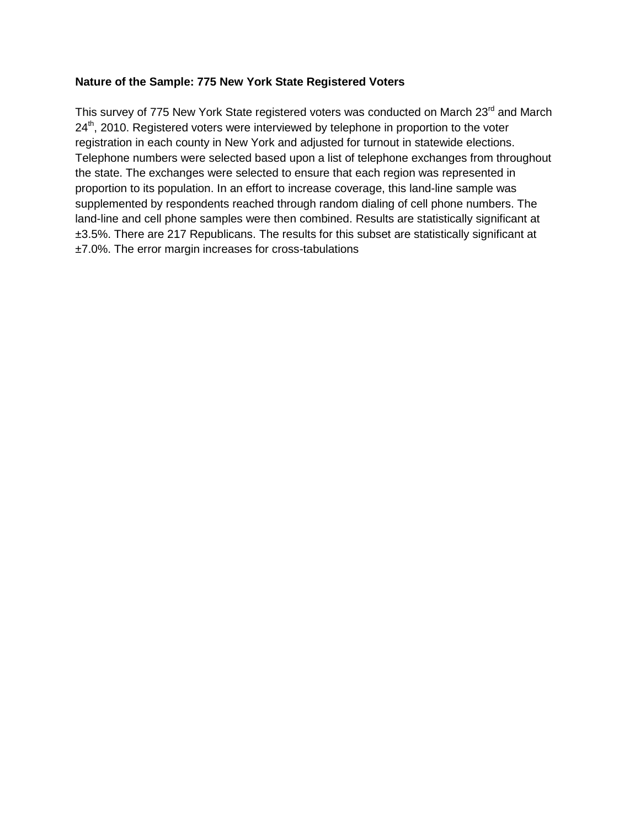## **Nature of the Sample: 775 New York State Registered Voters**

This survey of 775 New York State registered voters was conducted on March 23<sup>rd</sup> and March  $24<sup>th</sup>$ , 2010. Registered voters were interviewed by telephone in proportion to the voter registration in each county in New York and adjusted for turnout in statewide elections. Telephone numbers were selected based upon a list of telephone exchanges from throughout the state. The exchanges were selected to ensure that each region was represented in proportion to its population. In an effort to increase coverage, this land-line sample was supplemented by respondents reached through random dialing of cell phone numbers. The land-line and cell phone samples were then combined. Results are statistically significant at  $\pm$ 3.5%. There are 217 Republicans. The results for this subset are statistically significant at ±7.0%. The error margin increases for cross-tabulations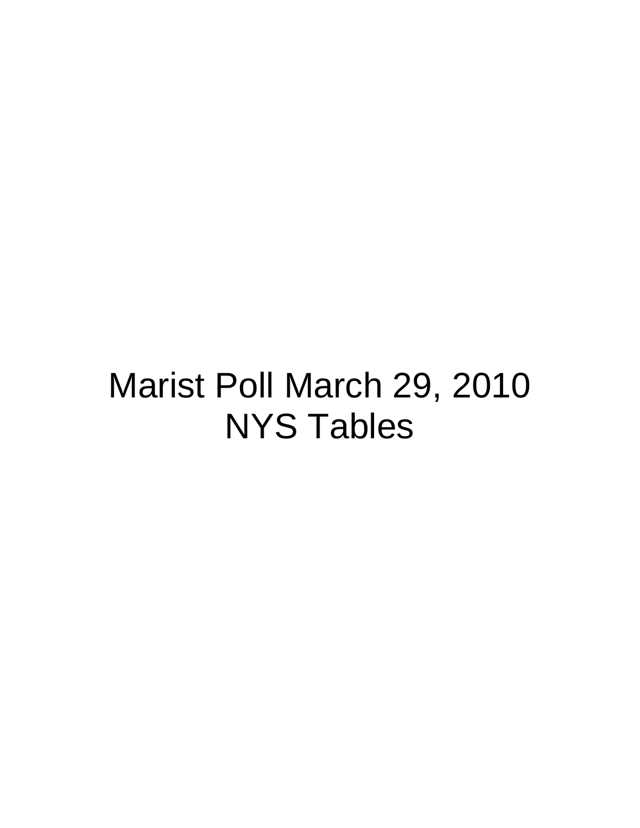# Marist Poll March 29, 2010 NYS Tables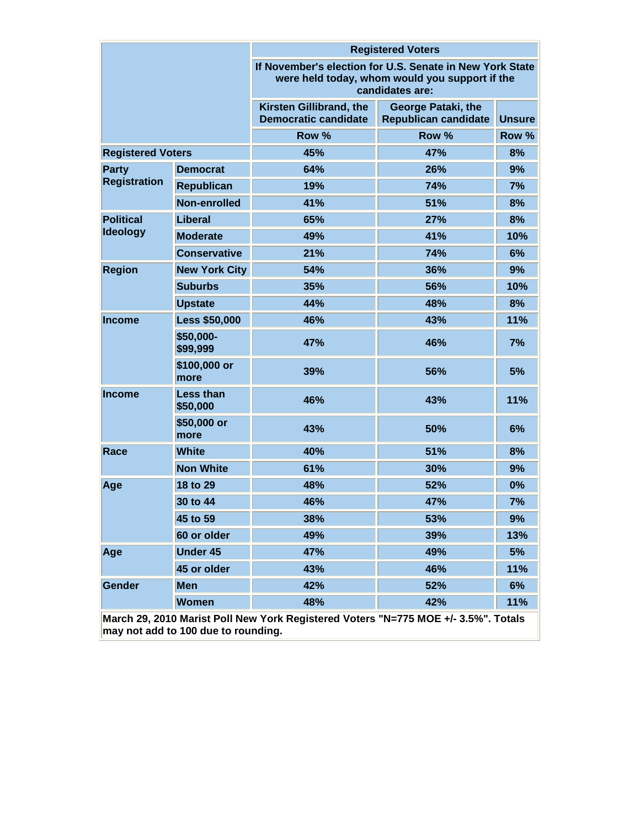|                          |                              |                                                                                                                               | <b>Registered Voters</b>                          |               |  |  |
|--------------------------|------------------------------|-------------------------------------------------------------------------------------------------------------------------------|---------------------------------------------------|---------------|--|--|
|                          |                              | If November's election for U.S. Senate in New York State<br>were held today, whom would you support if the<br>candidates are: |                                                   |               |  |  |
|                          |                              | Kirsten Gillibrand, the<br><b>Democratic candidate</b>                                                                        | George Pataki, the<br><b>Republican candidate</b> | <b>Unsure</b> |  |  |
|                          |                              | Row %                                                                                                                         | Row %                                             | Row %         |  |  |
| <b>Registered Voters</b> |                              | 45%                                                                                                                           | 47%                                               | 8%            |  |  |
| <b>Party</b>             | <b>Democrat</b>              | 64%                                                                                                                           | 26%                                               | 9%            |  |  |
| <b>Registration</b>      | <b>Republican</b>            | 19%                                                                                                                           | 74%                                               | 7%            |  |  |
|                          | Non-enrolled                 | 41%                                                                                                                           | 51%                                               | 8%            |  |  |
| <b>Political</b>         | Liberal                      | 65%                                                                                                                           | 27%                                               | 8%            |  |  |
| <b>Ideology</b>          | <b>Moderate</b>              | 49%                                                                                                                           | 41%                                               | 10%           |  |  |
|                          | <b>Conservative</b>          | 21%                                                                                                                           | 74%                                               | 6%            |  |  |
| <b>Region</b>            | <b>New York City</b>         | 54%                                                                                                                           | 36%                                               | 9%            |  |  |
|                          | <b>Suburbs</b>               | 35%                                                                                                                           | 56%                                               | 10%           |  |  |
|                          | <b>Upstate</b>               | 44%                                                                                                                           | 48%                                               | 8%            |  |  |
| <b>Income</b>            | <b>Less \$50,000</b>         | 46%                                                                                                                           | 43%                                               | 11%           |  |  |
|                          | \$50,000-<br>\$99,999        | 47%                                                                                                                           | 46%                                               | 7%            |  |  |
|                          | \$100,000 or<br>more         | 39%                                                                                                                           | 56%                                               | 5%            |  |  |
| <b>Income</b>            | <b>Less than</b><br>\$50,000 | 46%                                                                                                                           | 43%                                               | 11%           |  |  |
|                          | \$50,000 or<br>more          | 43%                                                                                                                           | 50%                                               | 6%            |  |  |
| Race                     | <b>White</b>                 | 40%                                                                                                                           | 51%                                               | 8%            |  |  |
|                          | <b>Non White</b>             | 61%                                                                                                                           | 30%                                               | 9%            |  |  |
| Age                      | 18 to 29                     | 48%                                                                                                                           | 52%                                               | 0%            |  |  |
|                          | 30 to 44                     | 46%                                                                                                                           | 47%                                               | 7%            |  |  |
|                          | 45 to 59                     | 38%                                                                                                                           | 53%                                               | 9%            |  |  |
|                          | 60 or older                  | 49%                                                                                                                           | 39%                                               | 13%           |  |  |
| Age                      | <b>Under 45</b>              | 47%                                                                                                                           | 49%                                               | 5%            |  |  |
|                          | 45 or older                  | 43%                                                                                                                           | 46%                                               | 11%           |  |  |
| <b>Gender</b>            | <b>Men</b>                   | 42%                                                                                                                           | 52%                                               | 6%            |  |  |
|                          | <b>Women</b>                 | 48%                                                                                                                           | 42%                                               | 11%           |  |  |
|                          |                              | March 29, 2010 Marist Poll New York Registered Voters "N=775 MOE +/- 3.5%". Totals                                            |                                                   |               |  |  |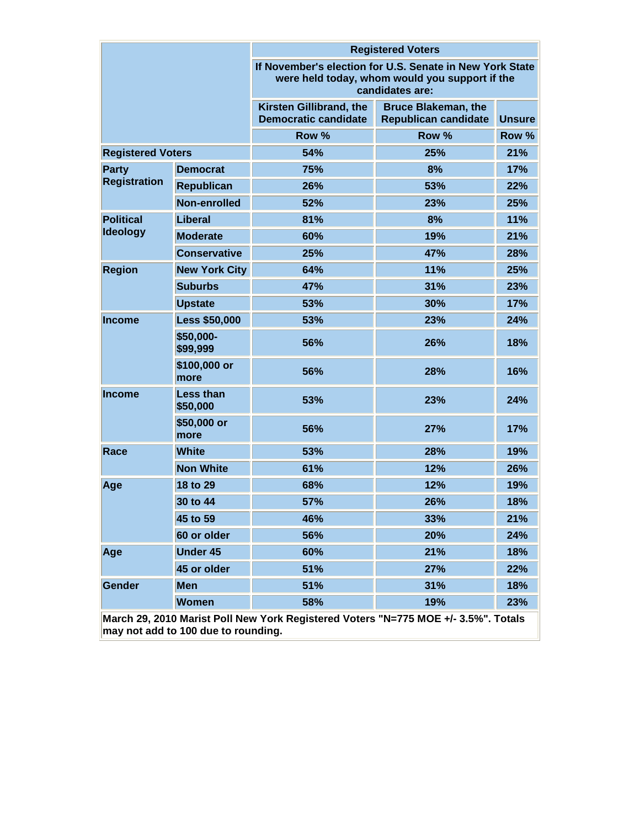|                                                                                    |                              | <b>Registered Voters</b>                                                                                                      |                                                           |               |  |  |  |
|------------------------------------------------------------------------------------|------------------------------|-------------------------------------------------------------------------------------------------------------------------------|-----------------------------------------------------------|---------------|--|--|--|
|                                                                                    |                              | If November's election for U.S. Senate in New York State<br>were held today, whom would you support if the<br>candidates are: |                                                           |               |  |  |  |
|                                                                                    |                              | Kirsten Gillibrand, the<br><b>Democratic candidate</b>                                                                        | <b>Bruce Blakeman, the</b><br><b>Republican candidate</b> | <b>Unsure</b> |  |  |  |
|                                                                                    |                              | Row %                                                                                                                         | Row %                                                     | Row %         |  |  |  |
| <b>Registered Voters</b>                                                           |                              | 54%                                                                                                                           | 25%                                                       | 21%           |  |  |  |
| Party                                                                              | <b>Democrat</b>              | 75%                                                                                                                           | 8%                                                        | 17%           |  |  |  |
| <b>Registration</b>                                                                | <b>Republican</b>            | 26%                                                                                                                           | 53%                                                       | 22%           |  |  |  |
|                                                                                    | Non-enrolled                 | 52%                                                                                                                           | 23%                                                       | 25%           |  |  |  |
| <b>Political</b>                                                                   | Liberal                      | 81%                                                                                                                           | 8%                                                        | 11%           |  |  |  |
| <b>Ideology</b>                                                                    | <b>Moderate</b>              | 60%                                                                                                                           | 19%                                                       | 21%           |  |  |  |
|                                                                                    | <b>Conservative</b>          | 25%                                                                                                                           | 47%                                                       | 28%           |  |  |  |
| <b>Region</b>                                                                      | <b>New York City</b>         | 64%                                                                                                                           | 11%                                                       | 25%           |  |  |  |
|                                                                                    | <b>Suburbs</b>               | 47%                                                                                                                           | 31%                                                       | 23%           |  |  |  |
|                                                                                    | <b>Upstate</b>               | 53%                                                                                                                           | 30%                                                       | 17%           |  |  |  |
| <b>Income</b>                                                                      | <b>Less \$50,000</b>         | 53%                                                                                                                           | 23%                                                       | 24%           |  |  |  |
|                                                                                    | \$50,000-<br>\$99,999        | 56%                                                                                                                           | 26%                                                       | 18%           |  |  |  |
|                                                                                    | \$100,000 or<br>more         | 56%                                                                                                                           | 28%                                                       | 16%           |  |  |  |
| <b>Income</b>                                                                      | <b>Less than</b><br>\$50,000 | 53%                                                                                                                           | 23%                                                       | 24%           |  |  |  |
|                                                                                    | \$50,000 or<br>more          | 56%                                                                                                                           | 27%                                                       | 17%           |  |  |  |
| Race                                                                               | <b>White</b>                 | 53%                                                                                                                           | 28%                                                       | 19%           |  |  |  |
|                                                                                    | <b>Non White</b>             | 61%                                                                                                                           | 12%                                                       | 26%           |  |  |  |
| Age                                                                                | 18 to 29                     | 68%                                                                                                                           | 12%                                                       | 19%           |  |  |  |
|                                                                                    | 30 to 44                     | 57%                                                                                                                           | 26%                                                       | 18%           |  |  |  |
|                                                                                    | 45 to 59                     | 46%                                                                                                                           | 33%                                                       | 21%           |  |  |  |
|                                                                                    | 60 or older                  | 56%                                                                                                                           | 20%                                                       | 24%           |  |  |  |
| Age                                                                                | <b>Under 45</b>              | 60%                                                                                                                           | 21%                                                       | 18%           |  |  |  |
|                                                                                    | 45 or older                  | 51%                                                                                                                           | 27%                                                       | 22%           |  |  |  |
| <b>Gender</b>                                                                      | <b>Men</b>                   | 51%                                                                                                                           | 31%                                                       | 18%           |  |  |  |
|                                                                                    | <b>Women</b>                 | 58%                                                                                                                           | 19%                                                       | 23%           |  |  |  |
| March 29, 2010 Marist Poll New York Registered Voters "N=775 MOE +/- 3.5%". Totals |                              |                                                                                                                               |                                                           |               |  |  |  |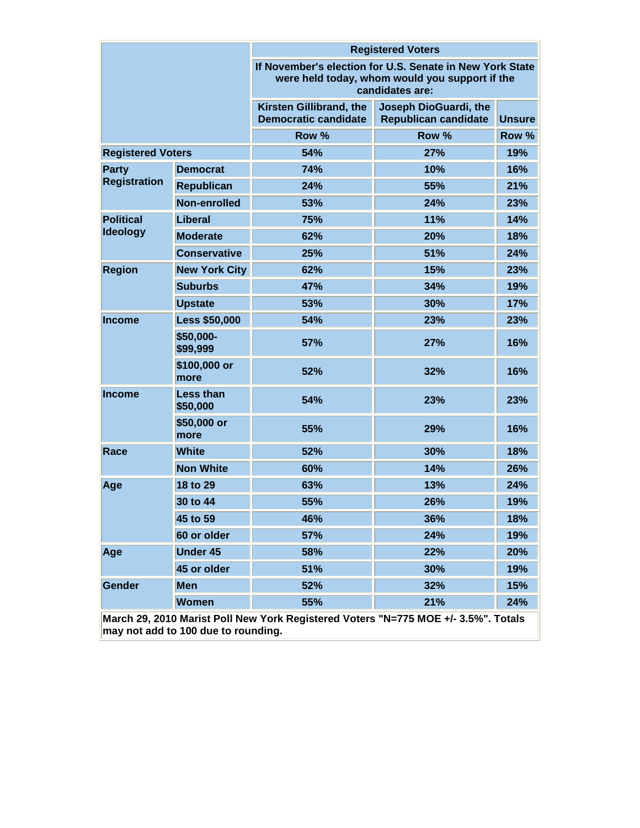|                                                                                    |                              | <b>Registered Voters</b>                                                                                                      |                                                      |               |  |  |  |
|------------------------------------------------------------------------------------|------------------------------|-------------------------------------------------------------------------------------------------------------------------------|------------------------------------------------------|---------------|--|--|--|
|                                                                                    |                              | If November's election for U.S. Senate in New York State<br>were held today, whom would you support if the<br>candidates are: |                                                      |               |  |  |  |
|                                                                                    |                              | Kirsten Gillibrand, the<br><b>Democratic candidate</b>                                                                        | Joseph DioGuardi, the<br><b>Republican candidate</b> | <b>Unsure</b> |  |  |  |
|                                                                                    |                              | Row %                                                                                                                         | Row %                                                | Row %         |  |  |  |
| <b>Registered Voters</b>                                                           |                              | 54%                                                                                                                           | 27%                                                  | 19%           |  |  |  |
| Party                                                                              | <b>Democrat</b>              | 74%                                                                                                                           | 10%                                                  | 16%           |  |  |  |
| <b>Registration</b>                                                                | <b>Republican</b>            | 24%                                                                                                                           | 55%                                                  | 21%           |  |  |  |
|                                                                                    | Non-enrolled                 | 53%                                                                                                                           | 24%                                                  | 23%           |  |  |  |
| <b>Political</b>                                                                   | Liberal                      | 75%                                                                                                                           | 11%                                                  | 14%           |  |  |  |
| <b>Ideology</b>                                                                    | <b>Moderate</b>              | 62%                                                                                                                           | 20%                                                  | 18%           |  |  |  |
|                                                                                    | <b>Conservative</b>          | 25%                                                                                                                           | 51%                                                  | 24%           |  |  |  |
| <b>Region</b>                                                                      | <b>New York City</b>         | 62%                                                                                                                           | 15%                                                  | 23%           |  |  |  |
|                                                                                    | <b>Suburbs</b>               | 47%                                                                                                                           | 34%                                                  | 19%           |  |  |  |
|                                                                                    | <b>Upstate</b>               | 53%                                                                                                                           | 30%                                                  | 17%           |  |  |  |
| <b>Income</b>                                                                      | <b>Less \$50,000</b>         | 54%                                                                                                                           | 23%                                                  | 23%           |  |  |  |
|                                                                                    | \$50,000-<br>\$99,999        | 57%                                                                                                                           | 27%                                                  | 16%           |  |  |  |
|                                                                                    | \$100,000 or<br>more         | 52%                                                                                                                           | 32%                                                  | 16%           |  |  |  |
| <b>Income</b>                                                                      | <b>Less than</b><br>\$50,000 | 54%                                                                                                                           | 23%                                                  | 23%           |  |  |  |
|                                                                                    | \$50,000 or<br>more          | 55%                                                                                                                           | 29%                                                  | 16%           |  |  |  |
| Race                                                                               | <b>White</b>                 | 52%                                                                                                                           | 30%                                                  | 18%           |  |  |  |
|                                                                                    | <b>Non White</b>             | 60%                                                                                                                           | 14%                                                  | 26%           |  |  |  |
| Age                                                                                | 18 to 29                     | 63%                                                                                                                           | 13%                                                  | 24%           |  |  |  |
|                                                                                    | 30 to 44                     | 55%                                                                                                                           | 26%                                                  | 19%           |  |  |  |
|                                                                                    | 45 to 59                     | 46%                                                                                                                           | 36%                                                  | 18%           |  |  |  |
|                                                                                    | 60 or older                  | 57%                                                                                                                           | 24%                                                  | 19%           |  |  |  |
| Age                                                                                | <b>Under 45</b>              | 58%                                                                                                                           | 22%                                                  | 20%           |  |  |  |
|                                                                                    | 45 or older                  | 51%                                                                                                                           | 30%                                                  | 19%           |  |  |  |
| Gender                                                                             | <b>Men</b>                   | 52%                                                                                                                           | 32%                                                  | 15%           |  |  |  |
|                                                                                    | <b>Women</b>                 | 55%                                                                                                                           | 21%                                                  | 24%           |  |  |  |
| March 29, 2010 Marist Poll New York Registered Voters "N=775 MOE +/- 3.5%". Totals |                              |                                                                                                                               |                                                      |               |  |  |  |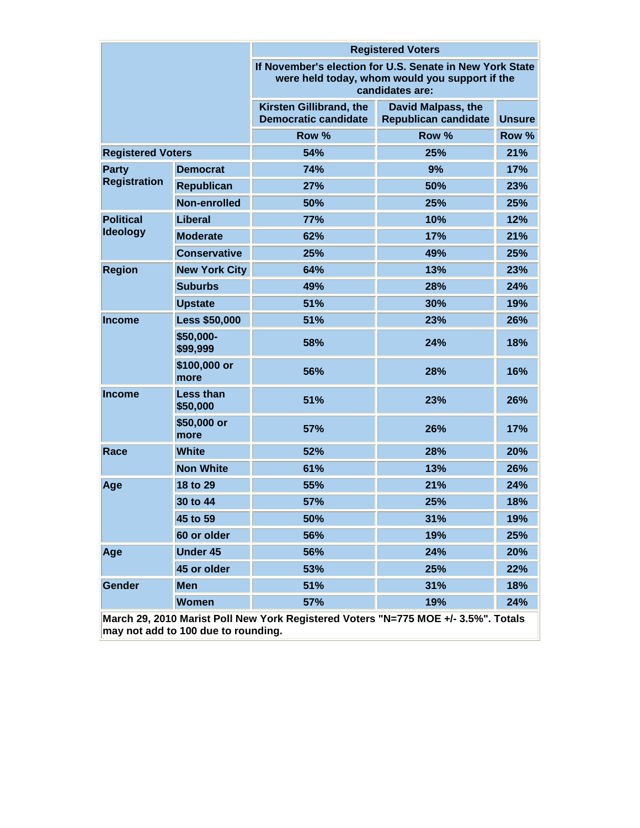|                          |                              | <b>Registered Voters</b>                                                                                                      |                                                          |               |  |  |  |
|--------------------------|------------------------------|-------------------------------------------------------------------------------------------------------------------------------|----------------------------------------------------------|---------------|--|--|--|
|                          |                              | If November's election for U.S. Senate in New York State<br>were held today, whom would you support if the<br>candidates are: |                                                          |               |  |  |  |
|                          |                              | Kirsten Gillibrand, the<br><b>Democratic candidate</b>                                                                        | <b>David Malpass, the</b><br><b>Republican candidate</b> | <b>Unsure</b> |  |  |  |
|                          |                              | Row %                                                                                                                         | Row %                                                    | Row %         |  |  |  |
| <b>Registered Voters</b> |                              | 54%                                                                                                                           | 25%                                                      | 21%           |  |  |  |
| Party                    | <b>Democrat</b>              | 74%                                                                                                                           | 9%                                                       | 17%           |  |  |  |
| <b>Registration</b>      | <b>Republican</b>            | 27%                                                                                                                           | 50%                                                      | 23%           |  |  |  |
|                          | Non-enrolled                 | 50%                                                                                                                           | 25%                                                      | 25%           |  |  |  |
| <b>Political</b>         | Liberal                      | 77%                                                                                                                           | 10%                                                      | 12%           |  |  |  |
| <b>Ideology</b>          | <b>Moderate</b>              | 62%                                                                                                                           | 17%                                                      | 21%           |  |  |  |
|                          | <b>Conservative</b>          | 25%                                                                                                                           | 49%                                                      | 25%           |  |  |  |
| <b>Region</b>            | <b>New York City</b>         | 64%                                                                                                                           | 13%                                                      | 23%           |  |  |  |
|                          | <b>Suburbs</b>               | 49%                                                                                                                           | 28%                                                      | 24%           |  |  |  |
|                          | <b>Upstate</b>               | 51%                                                                                                                           | 30%                                                      | 19%           |  |  |  |
| <b>Income</b>            | <b>Less \$50,000</b>         | 51%                                                                                                                           | 23%                                                      | 26%           |  |  |  |
|                          | \$50,000-<br>\$99,999        | 58%                                                                                                                           | 24%                                                      | 18%           |  |  |  |
|                          | \$100,000 or<br>more         | 56%                                                                                                                           | 28%                                                      | 16%           |  |  |  |
| <b>Income</b>            | <b>Less than</b><br>\$50,000 | 51%                                                                                                                           | 23%                                                      | 26%           |  |  |  |
|                          | \$50,000 or<br>more          | 57%                                                                                                                           | 26%                                                      | 17%           |  |  |  |
| Race                     | <b>White</b>                 | 52%                                                                                                                           | 28%                                                      | 20%           |  |  |  |
|                          | <b>Non White</b>             | 61%                                                                                                                           | 13%                                                      | 26%           |  |  |  |
| Age                      | 18 to 29                     | 55%                                                                                                                           | 21%                                                      | 24%           |  |  |  |
|                          | 30 to 44                     | 57%                                                                                                                           | 25%                                                      | 18%           |  |  |  |
|                          | 45 to 59                     | 50%                                                                                                                           | 31%                                                      | 19%           |  |  |  |
|                          | 60 or older                  | 56%                                                                                                                           | 19%                                                      | 25%           |  |  |  |
| Age                      | <b>Under 45</b>              | 56%                                                                                                                           | 24%                                                      | 20%           |  |  |  |
|                          | 45 or older                  | 53%                                                                                                                           | 25%                                                      | 22%           |  |  |  |
| Gender                   | <b>Men</b>                   | 51%                                                                                                                           | 31%                                                      | 18%           |  |  |  |
|                          | <b>Women</b>                 | 57%                                                                                                                           | 19%                                                      | 24%           |  |  |  |
|                          |                              | March 29, 2010 Marist Poll New York Registered Voters "N=775 MOE +/- 3.5%". Totals                                            |                                                          |               |  |  |  |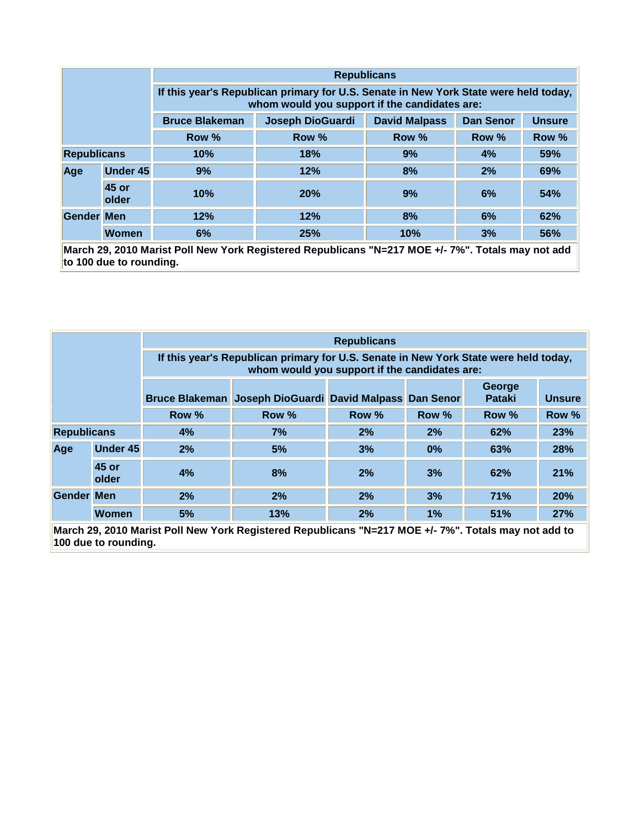|                    |                 | <b>Republicans</b>                                                                                                                    |                         |                      |                  |               |  |  |
|--------------------|-----------------|---------------------------------------------------------------------------------------------------------------------------------------|-------------------------|----------------------|------------------|---------------|--|--|
|                    |                 | If this year's Republican primary for U.S. Senate in New York State were held today,<br>whom would you support if the candidates are: |                         |                      |                  |               |  |  |
|                    |                 | <b>Bruce Blakeman</b>                                                                                                                 | <b>Joseph DioGuardi</b> | <b>David Malpass</b> | <b>Dan Senor</b> | <b>Unsure</b> |  |  |
| Row %<br>Row %     |                 |                                                                                                                                       |                         | Row %                | Row %            | Row %         |  |  |
| <b>Republicans</b> |                 | 10%                                                                                                                                   | 18%                     | 9%<br>4%             |                  | 59%           |  |  |
| Age                | <b>Under 45</b> | 9%                                                                                                                                    | 12%                     | 8%                   | 2%               | 69%           |  |  |
|                    | 45 or<br>older  | 10%                                                                                                                                   | 20%                     | 9%                   | 6%               | 54%           |  |  |
| <b>Gender Men</b>  |                 | 12%                                                                                                                                   | 12%                     | 8%                   | 6%               | 62%           |  |  |
|                    | <b>Women</b>    | 6%                                                                                                                                    | 25%                     | 10%                  | 3%               | 56%           |  |  |

**March 29, 2010 Marist Poll New York Registered Republicans "N=217 MOE +/- 7%". Totals may not add to 100 due to rounding.**

|                                                                                                                              |                 | <b>Republicans</b>                                                                                                                    |       |       |       |                         |               |  |
|------------------------------------------------------------------------------------------------------------------------------|-----------------|---------------------------------------------------------------------------------------------------------------------------------------|-------|-------|-------|-------------------------|---------------|--|
|                                                                                                                              |                 | If this year's Republican primary for U.S. Senate in New York State were held today,<br>whom would you support if the candidates are: |       |       |       |                         |               |  |
| Bruce Blakeman Joseph DioGuardi David Malpass Dan Senor                                                                      |                 |                                                                                                                                       |       |       |       | George<br><b>Pataki</b> | <b>Unsure</b> |  |
|                                                                                                                              | Row %<br>Row %  |                                                                                                                                       | Row % | Row % | Row % | Row %                   |               |  |
| <b>Republicans</b>                                                                                                           |                 | 4%                                                                                                                                    | 7%    | 2%    | 2%    | 62%                     | 23%           |  |
| Age                                                                                                                          | <b>Under 45</b> | 2%                                                                                                                                    | 5%    | 3%    | 0%    | 63%                     | 28%           |  |
|                                                                                                                              | 45 or<br>older  | 4%                                                                                                                                    | 8%    | 2%    | 3%    | 62%                     | 21%           |  |
| <b>Gender Men</b>                                                                                                            |                 | 2%                                                                                                                                    | 2%    | 2%    | 3%    | <b>71%</b>              | 20%           |  |
|                                                                                                                              | <b>Women</b>    | 5%                                                                                                                                    | 13%   | 2%    | 1%    | 51%                     | 27%           |  |
| March 29, 2010 Marist Poll New York Registered Republicans "N=217 MOE +/- 7%". Totals may not add to<br>100 due to rounding. |                 |                                                                                                                                       |       |       |       |                         |               |  |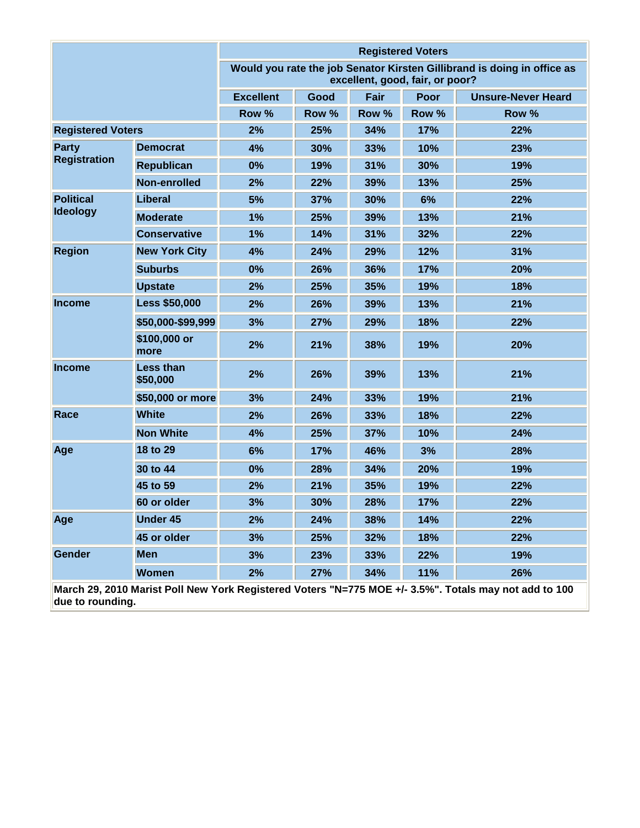|                                                                                                       |                       |                                                                                                            |       |       | <b>Registered Voters</b> |                           |
|-------------------------------------------------------------------------------------------------------|-----------------------|------------------------------------------------------------------------------------------------------------|-------|-------|--------------------------|---------------------------|
|                                                                                                       |                       | Would you rate the job Senator Kirsten Gillibrand is doing in office as<br>excellent, good, fair, or poor? |       |       |                          |                           |
|                                                                                                       |                       | <b>Excellent</b>                                                                                           | Good  | Fair  | <b>Poor</b>              | <b>Unsure-Never Heard</b> |
|                                                                                                       |                       | Row %                                                                                                      | Row % | Row % | Row %                    | Row %                     |
| <b>Registered Voters</b>                                                                              |                       | 2%                                                                                                         | 25%   | 34%   | 17%                      | 22%                       |
| <b>Party</b>                                                                                          | <b>Democrat</b>       | 4%                                                                                                         | 30%   | 33%   | 10%                      | 23%                       |
| <b>Registration</b>                                                                                   | <b>Republican</b>     | 0%                                                                                                         | 19%   | 31%   | 30%                      | 19%                       |
|                                                                                                       | Non-enrolled          | 2%                                                                                                         | 22%   | 39%   | 13%                      | 25%                       |
| <b>Political</b>                                                                                      | <b>Liberal</b>        | 5%                                                                                                         | 37%   | 30%   | 6%                       | 22%                       |
| <b>Ideology</b>                                                                                       | <b>Moderate</b>       | 1%                                                                                                         | 25%   | 39%   | 13%                      | 21%                       |
|                                                                                                       | <b>Conservative</b>   | 1%                                                                                                         | 14%   | 31%   | 32%                      | 22%                       |
| <b>Region</b>                                                                                         | <b>New York City</b>  | 4%                                                                                                         | 24%   | 29%   | 12%                      | 31%                       |
|                                                                                                       | <b>Suburbs</b>        | 0%                                                                                                         | 26%   | 36%   | 17%                      | 20%                       |
|                                                                                                       | <b>Upstate</b>        | 2%                                                                                                         | 25%   | 35%   | 19%                      | 18%                       |
| <b>Income</b>                                                                                         | <b>Less \$50,000</b>  | 2%                                                                                                         | 26%   | 39%   | 13%                      | 21%                       |
|                                                                                                       | \$50,000-\$99,999     | 3%                                                                                                         | 27%   | 29%   | 18%                      | 22%                       |
|                                                                                                       | \$100,000 or<br>more  | 2%                                                                                                         | 21%   | 38%   | 19%                      | 20%                       |
| <b>Income</b>                                                                                         | Less than<br>\$50,000 | 2%                                                                                                         | 26%   | 39%   | 13%                      | 21%                       |
|                                                                                                       | \$50,000 or more      | 3%                                                                                                         | 24%   | 33%   | 19%                      | 21%                       |
| Race                                                                                                  | <b>White</b>          | 2%                                                                                                         | 26%   | 33%   | 18%                      | 22%                       |
|                                                                                                       | <b>Non White</b>      | 4%                                                                                                         | 25%   | 37%   | 10%                      | 24%                       |
| Age                                                                                                   | 18 to 29              | 6%                                                                                                         | 17%   | 46%   | 3%                       | 28%                       |
|                                                                                                       | 30 to 44              | 0%                                                                                                         | 28%   | 34%   | 20%                      | 19%                       |
|                                                                                                       | 45 to 59              | 2%                                                                                                         | 21%   | 35%   | 19%                      | 22%                       |
|                                                                                                       | 60 or older           | 3%                                                                                                         | 30%   | 28%   | 17%                      | 22%                       |
| Age                                                                                                   | <b>Under 45</b>       | 2%                                                                                                         | 24%   | 38%   | 14%                      | 22%                       |
|                                                                                                       | 45 or older           | 3%                                                                                                         | 25%   | 32%   | 18%                      | 22%                       |
| Gender                                                                                                | <b>Men</b>            | 3%                                                                                                         | 23%   | 33%   | 22%                      | 19%                       |
|                                                                                                       | <b>Women</b>          | 2%                                                                                                         | 27%   | 34%   | 11%                      | 26%                       |
| March 29, 2010 Marist Poll New York Registered Voters "N=775 MOE +/- 3.5%". Totals may not add to 100 |                       |                                                                                                            |       |       |                          |                           |

**due to rounding.**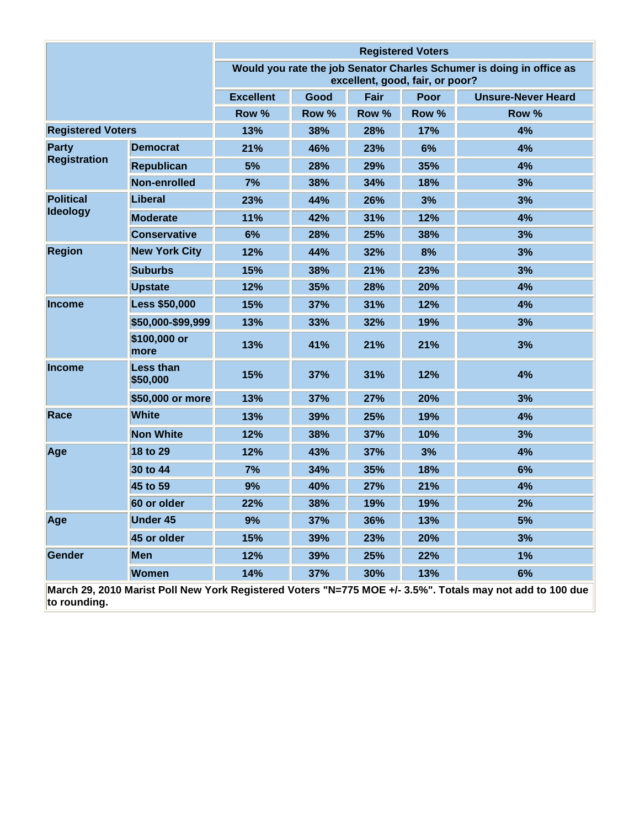|                                                                                                           |                       |                  |       |                                 | <b>Registered Voters</b> |                                                                      |
|-----------------------------------------------------------------------------------------------------------|-----------------------|------------------|-------|---------------------------------|--------------------------|----------------------------------------------------------------------|
|                                                                                                           |                       |                  |       | excellent, good, fair, or poor? |                          | Would you rate the job Senator Charles Schumer is doing in office as |
|                                                                                                           |                       | <b>Excellent</b> | Good  | Fair                            | Poor                     | <b>Unsure-Never Heard</b>                                            |
|                                                                                                           |                       | Row %            | Row % | Row %                           | Row %                    | Row %                                                                |
| <b>Registered Voters</b>                                                                                  |                       | 13%              | 38%   | 28%                             | 17%                      | 4%                                                                   |
| Party<br><b>Registration</b>                                                                              | <b>Democrat</b>       | 21%              | 46%   | 23%                             | 6%                       | 4%                                                                   |
|                                                                                                           | <b>Republican</b>     | 5%               | 28%   | 29%                             | 35%                      | 4%                                                                   |
|                                                                                                           | Non-enrolled          | 7%               | 38%   | 34%                             | 18%                      | 3%                                                                   |
| <b>Political</b>                                                                                          | <b>Liberal</b>        | 23%              | 44%   | 26%                             | 3%                       | 3%                                                                   |
| <b>Ideology</b>                                                                                           | <b>Moderate</b>       | 11%              | 42%   | 31%                             | 12%                      | 4%                                                                   |
|                                                                                                           | <b>Conservative</b>   | 6%               | 28%   | 25%                             | 38%                      | 3%                                                                   |
| <b>Region</b>                                                                                             | <b>New York City</b>  | 12%              | 44%   | 32%                             | 8%                       | 3%                                                                   |
|                                                                                                           | <b>Suburbs</b>        | 15%              | 38%   | 21%                             | 23%                      | 3%                                                                   |
|                                                                                                           | <b>Upstate</b>        | 12%              | 35%   | 28%                             | 20%                      | 4%                                                                   |
| <b>Income</b>                                                                                             | <b>Less \$50,000</b>  | 15%              | 37%   | 31%                             | 12%                      | 4%                                                                   |
|                                                                                                           | \$50,000-\$99,999     | 13%              | 33%   | 32%                             | 19%                      | 3%                                                                   |
|                                                                                                           | \$100,000 or<br>more  | 13%              | 41%   | 21%                             | 21%                      | 3%                                                                   |
| <b>Income</b>                                                                                             | Less than<br>\$50,000 | 15%              | 37%   | 31%                             | 12%                      | 4%                                                                   |
|                                                                                                           | \$50,000 or more      | 13%              | 37%   | 27%                             | 20%                      | 3%                                                                   |
| Race                                                                                                      | <b>White</b>          | 13%              | 39%   | 25%                             | 19%                      | 4%                                                                   |
|                                                                                                           | <b>Non White</b>      | 12%              | 38%   | 37%                             | 10%                      | 3%                                                                   |
| Age                                                                                                       | 18 to 29              | 12%              | 43%   | 37%                             | 3%                       | 4%                                                                   |
|                                                                                                           | 30 to 44              | 7%               | 34%   | 35%                             | 18%                      | 6%                                                                   |
|                                                                                                           | 45 to 59              | 9%               | 40%   | 27%                             | 21%                      | 4%                                                                   |
|                                                                                                           | 60 or older           | 22%              | 38%   | 19%                             | 19%                      | 2%                                                                   |
| Age                                                                                                       | <b>Under 45</b>       | 9%               | 37%   | 36%                             | 13%                      | 5%                                                                   |
|                                                                                                           | 45 or older           | 15%              | 39%   | 23%                             | 20%                      | 3%                                                                   |
| <b>Gender</b>                                                                                             | <b>Men</b>            | 12%              | 39%   | 25%                             | 22%                      | 1%                                                                   |
|                                                                                                           | <b>Women</b>          | 14%              | 37%   | 30%                             | 13%                      | 6%                                                                   |
| March 29, 2010 Marist Poll New York Registered Voters "N=775 MOE +/- 3.5%". Totals may not add to 100 due |                       |                  |       |                                 |                          |                                                                      |

**March 29, 20**<br>to rounding.